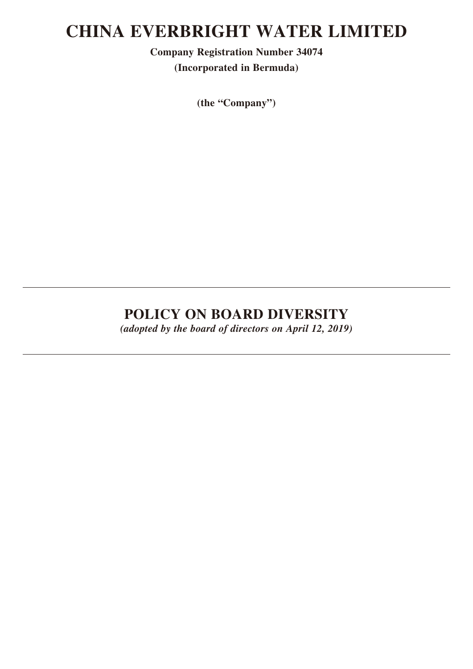# **CHINA EVERBRIGHT WATER LIMITED**

**Company Registration Number 34074 (Incorporated in Bermuda)**

**(the "Company")**

## **POLICY ON BOARD DIVERSITY**

*(adopted by the board of directors on April 12, 2019)*